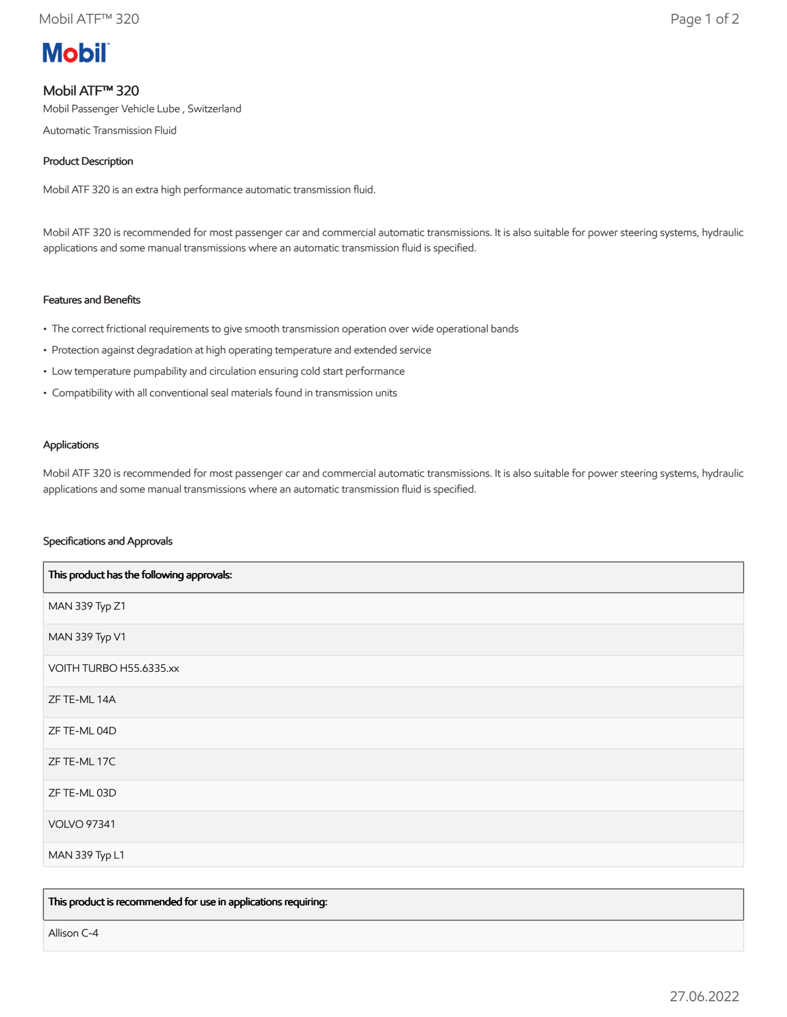# **Mobil**

## Mobil ATF™ 320

Mobil Passenger Vehicle Lube , Switzerland

Automatic Transmission Fluid

### Product Description

Mobil ATF 320 is an extra high performance automatic transmission fluid.

Mobil ATF 320 is recommended for most passenger car and commercial automatic transmissions. It is also suitable for power steering systems, hydraulic applications and some manual transmissions where an automatic transmission fluid is specified.

#### Features and Benefits

- The correct frictional requirements to give smooth transmission operation over wide operational bands
- Protection against degradation at high operating temperature and extended service
- Low temperature pumpability and circulation ensuring cold start performance
- Compatibility with all conventional seal materials found in transmission units

#### Applications

Mobil ATF 320 is recommended for most passenger car and commercial automatic transmissions. It is also suitable for power steering systems, hydraulic applications and some manual transmissions where an automatic transmission fluid is specified.

#### Specifications and Approvals

| This product has the following approvals: |
|-------------------------------------------|
| MAN 339 Typ Z1                            |
| MAN 339 Typ V1                            |
| VOITH TURBO H55.6335.xx                   |
| ZF TE-ML 14A                              |
| ZF TE-ML 04D                              |
| ZF TE-ML 17C                              |
| ZF TE-ML 03D                              |
| <b>VOLVO 97341</b>                        |
| MAN 339 Typ L1                            |

This product is recommended for use in applications requiring:

Allison C-4